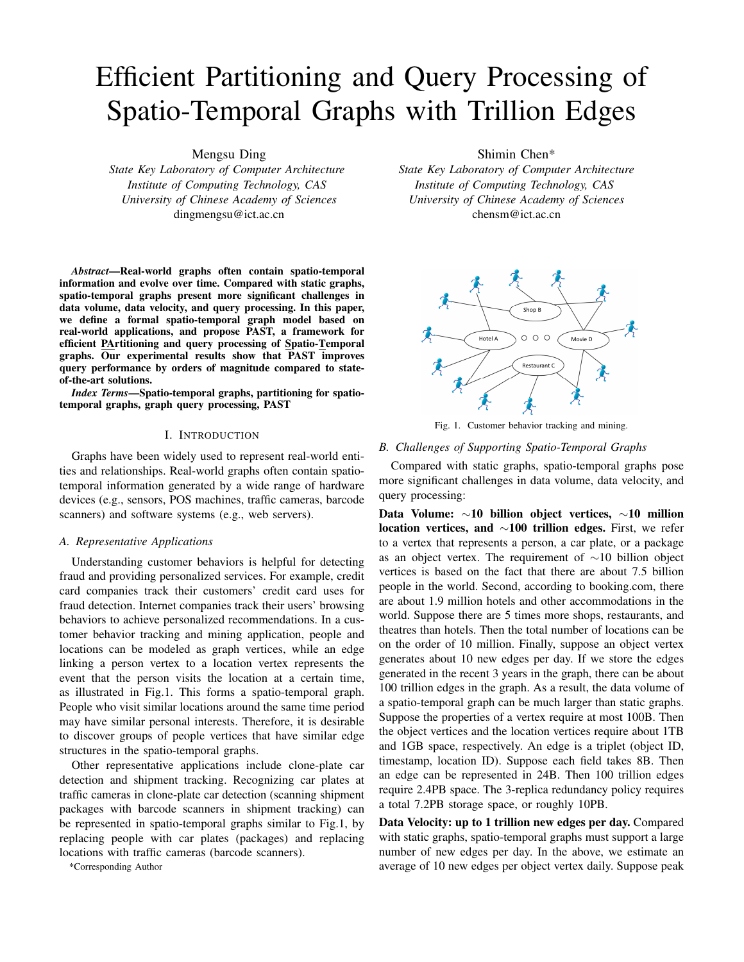# Efficient Partitioning and Query Processing of Spatio-Temporal Graphs with Trillion Edges

Mengsu Ding

*State Key Laboratory of Computer Architecture Institute of Computing Technology, CAS University of Chinese Academy of Sciences* dingmengsu@ict.ac.cn

*Abstract*—Real-world graphs often contain spatio-temporal information and evolve over time. Compared with static graphs, spatio-temporal graphs present more significant challenges in data volume, data velocity, and query processing. In this paper, we define a formal spatio-temporal graph model based on real-world applications, and propose PAST, a framework for efficient PArtitioning and query processing of Spatio-Temporal graphs. Our experimental results show that PAST improves query performance by orders of magnitude compared to stateof-the-art solutions.

*Index Terms*—Spatio-temporal graphs, partitioning for spatiotemporal graphs, graph query processing, PAST

#### I. INTRODUCTION

Graphs have been widely used to represent real-world entities and relationships. Real-world graphs often contain spatiotemporal information generated by a wide range of hardware devices (e.g., sensors, POS machines, traffic cameras, barcode scanners) and software systems (e.g., web servers).

#### *A. Representative Applications*

Understanding customer behaviors is helpful for detecting fraud and providing personalized services. For example, credit card companies track their customers' credit card uses for fraud detection. Internet companies track their users' browsing behaviors to achieve personalized recommendations. In a customer behavior tracking and mining application, people and locations can be modeled as graph vertices, while an edge linking a person vertex to a location vertex represents the event that the person visits the location at a certain time, as illustrated in Fig.1. This forms a spatio-temporal graph. People who visit similar locations around the same time period may have similar personal interests. Therefore, it is desirable to discover groups of people vertices that have similar edge structures in the spatio-temporal graphs.

Other representative applications include clone-plate car detection and shipment tracking. Recognizing car plates at traffic cameras in clone-plate car detection (scanning shipment packages with barcode scanners in shipment tracking) can be represented in spatio-temporal graphs similar to Fig.1, by replacing people with car plates (packages) and replacing locations with traffic cameras (barcode scanners).

\*Corresponding Author

Shimin Chen\*

*State Key Laboratory of Computer Architecture Institute of Computing Technology, CAS University of Chinese Academy of Sciences* chensm@ict.ac.cn



Fig. 1. Customer behavior tracking and mining.

## *B. Challenges of Supporting Spatio-Temporal Graphs*

Compared with static graphs, spatio-temporal graphs pose more significant challenges in data volume, data velocity, and query processing:

Data Volume: ∼10 billion object vertices, ∼10 million location vertices, and ∼100 trillion edges. First, we refer to a vertex that represents a person, a car plate, or a package as an object vertex. The requirement of ∼10 billion object vertices is based on the fact that there are about 7.5 billion people in the world. Second, according to booking.com, there are about 1.9 million hotels and other accommodations in the world. Suppose there are 5 times more shops, restaurants, and theatres than hotels. Then the total number of locations can be on the order of 10 million. Finally, suppose an object vertex generates about 10 new edges per day. If we store the edges generated in the recent 3 years in the graph, there can be about 100 trillion edges in the graph. As a result, the data volume of a spatio-temporal graph can be much larger than static graphs. Suppose the properties of a vertex require at most 100B. Then the object vertices and the location vertices require about 1TB and 1GB space, respectively. An edge is a triplet (object ID, timestamp, location ID). Suppose each field takes 8B. Then an edge can be represented in 24B. Then 100 trillion edges require 2.4PB space. The 3-replica redundancy policy requires a total 7.2PB storage space, or roughly 10PB.

Data Velocity: up to 1 trillion new edges per day. Compared with static graphs, spatio-temporal graphs must support a large number of new edges per day. In the above, we estimate an average of 10 new edges per object vertex daily. Suppose peak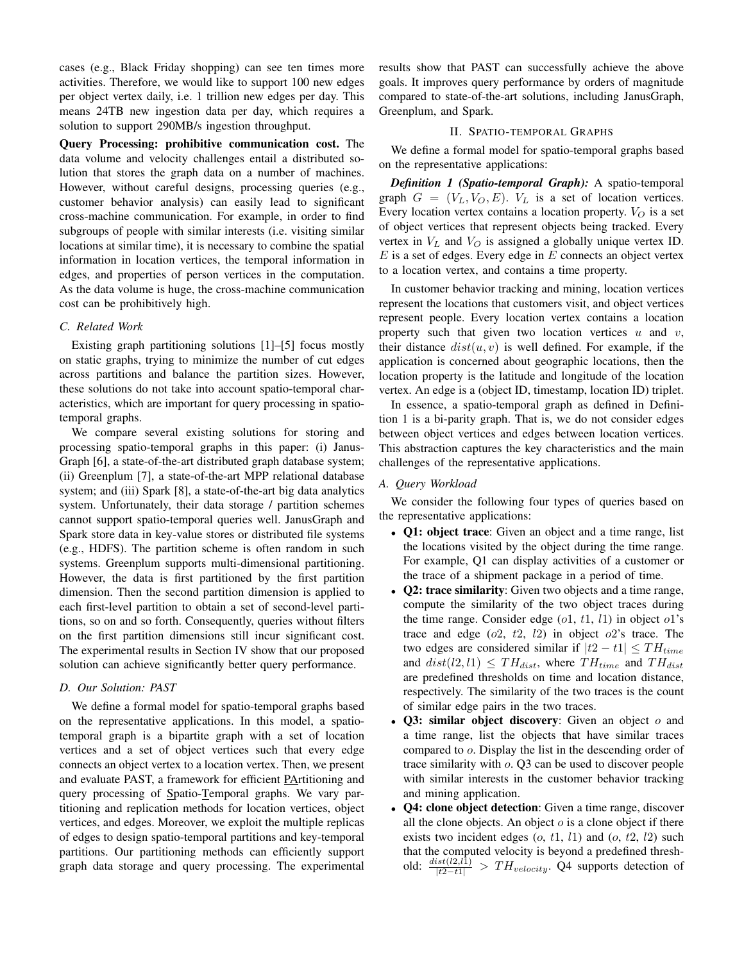cases (e.g., Black Friday shopping) can see ten times more activities. Therefore, we would like to support 100 new edges per object vertex daily, i.e. 1 trillion new edges per day. This means 24TB new ingestion data per day, which requires a solution to support 290MB/s ingestion throughput.

Query Processing: prohibitive communication cost. The data volume and velocity challenges entail a distributed solution that stores the graph data on a number of machines. However, without careful designs, processing queries (e.g., customer behavior analysis) can easily lead to significant cross-machine communication. For example, in order to find subgroups of people with similar interests (i.e. visiting similar locations at similar time), it is necessary to combine the spatial information in location vertices, the temporal information in edges, and properties of person vertices in the computation. As the data volume is huge, the cross-machine communication cost can be prohibitively high.

## *C. Related Work*

Existing graph partitioning solutions [1]–[5] focus mostly on static graphs, trying to minimize the number of cut edges across partitions and balance the partition sizes. However, these solutions do not take into account spatio-temporal characteristics, which are important for query processing in spatiotemporal graphs.

We compare several existing solutions for storing and processing spatio-temporal graphs in this paper: (i) Janus-Graph [6], a state-of-the-art distributed graph database system; (ii) Greenplum [7], a state-of-the-art MPP relational database system; and (iii) Spark [8], a state-of-the-art big data analytics system. Unfortunately, their data storage / partition schemes cannot support spatio-temporal queries well. JanusGraph and Spark store data in key-value stores or distributed file systems (e.g., HDFS). The partition scheme is often random in such systems. Greenplum supports multi-dimensional partitioning. However, the data is first partitioned by the first partition dimension. Then the second partition dimension is applied to each first-level partition to obtain a set of second-level partitions, so on and so forth. Consequently, queries without filters on the first partition dimensions still incur significant cost. The experimental results in Section IV show that our proposed solution can achieve significantly better query performance.

## *D. Our Solution: PAST*

We define a formal model for spatio-temporal graphs based on the representative applications. In this model, a spatiotemporal graph is a bipartite graph with a set of location vertices and a set of object vertices such that every edge connects an object vertex to a location vertex. Then, we present and evaluate PAST, a framework for efficient PArtitioning and query processing of Spatio-Temporal graphs. We vary partitioning and replication methods for location vertices, object vertices, and edges. Moreover, we exploit the multiple replicas of edges to design spatio-temporal partitions and key-temporal partitions. Our partitioning methods can efficiently support graph data storage and query processing. The experimental results show that PAST can successfully achieve the above goals. It improves query performance by orders of magnitude compared to state-of-the-art solutions, including JanusGraph, Greenplum, and Spark.

## II. SPATIO-TEMPORAL GRAPHS

We define a formal model for spatio-temporal graphs based on the representative applications:

*Definition 1 (Spatio-temporal Graph):* A spatio-temporal graph  $G = (V_L, V_O, E)$ .  $V_L$  is a set of location vertices. Every location vertex contains a location property.  $V_O$  is a set of object vertices that represent objects being tracked. Every vertex in  $V_L$  and  $V_Q$  is assigned a globally unique vertex ID.  $E$  is a set of edges. Every edge in  $E$  connects an object vertex to a location vertex, and contains a time property.

In customer behavior tracking and mining, location vertices represent the locations that customers visit, and object vertices represent people. Every location vertex contains a location property such that given two location vertices  $u$  and  $v$ , their distance  $dist(u, v)$  is well defined. For example, if the application is concerned about geographic locations, then the location property is the latitude and longitude of the location vertex. An edge is a (object ID, timestamp, location ID) triplet.

In essence, a spatio-temporal graph as defined in Definition 1 is a bi-parity graph. That is, we do not consider edges between object vertices and edges between location vertices. This abstraction captures the key characteristics and the main challenges of the representative applications.

## *A. Query Workload*

We consider the following four types of queries based on the representative applications:

- **Q1: object trace**: Given an object and a time range, list the locations visited by the object during the time range. For example, Q1 can display activities of a customer or the trace of a shipment package in a period of time.
- **Q2: trace similarity**: Given two objects and a time range, compute the similarity of the two object traces during the time range. Consider edge  $(o1, t1, l1)$  in object  $o1$ 's trace and edge  $(o2, t2, l2)$  in object  $o2$ 's trace. The two edges are considered similar if  $|t2 - t1| \leq TH_{time}$ and  $dist(l2, l1) \leq TH_{dist}$ , where  $TH_{time}$  and  $TH_{dist}$ are predefined thresholds on time and location distance, respectively. The similarity of the two traces is the count of similar edge pairs in the two traces.
- Q3: similar object discovery: Given an object  $o$  and a time range, list the objects that have similar traces compared to o. Display the list in the descending order of trace similarity with o. Q3 can be used to discover people with similar interests in the customer behavior tracking and mining application.
- Q4: clone object detection: Given a time range, discover all the clone objects. An object  $o$  is a clone object if there exists two incident edges  $(o, t1, l1)$  and  $(o, t2, l2)$  such that the computed velocity is beyond a predefined threshold:  $\frac{dist(l2,l\bar{1})}{|t2-t1|}$  >  $TH_{velocity}$ . Q4 supports detection of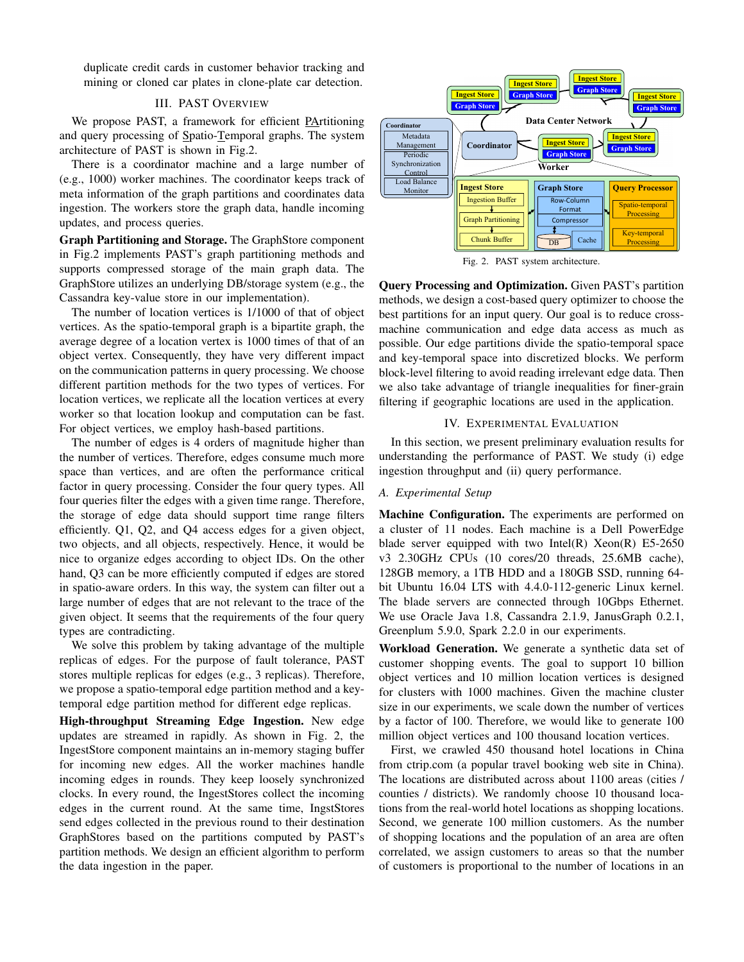duplicate credit cards in customer behavior tracking and mining or cloned car plates in clone-plate car detection.

## III. PAST OVERVIEW

We propose PAST, a framework for efficient PArtitioning and query processing of Spatio-Temporal graphs. The system architecture of PAST is shown in Fig.2.

There is a coordinator machine and a large number of (e.g., 1000) worker machines. The coordinator keeps track of meta information of the graph partitions and coordinates data ingestion. The workers store the graph data, handle incoming updates, and process queries.

Graph Partitioning and Storage. The GraphStore component in Fig.2 implements PAST's graph partitioning methods and supports compressed storage of the main graph data. The GraphStore utilizes an underlying DB/storage system (e.g., the Cassandra key-value store in our implementation).

The number of location vertices is 1/1000 of that of object vertices. As the spatio-temporal graph is a bipartite graph, the average degree of a location vertex is 1000 times of that of an object vertex. Consequently, they have very different impact on the communication patterns in query processing. We choose different partition methods for the two types of vertices. For location vertices, we replicate all the location vertices at every worker so that location lookup and computation can be fast. For object vertices, we employ hash-based partitions.

The number of edges is 4 orders of magnitude higher than the number of vertices. Therefore, edges consume much more space than vertices, and are often the performance critical factor in query processing. Consider the four query types. All four queries filter the edges with a given time range. Therefore, the storage of edge data should support time range filters efficiently. Q1, Q2, and Q4 access edges for a given object, two objects, and all objects, respectively. Hence, it would be nice to organize edges according to object IDs. On the other hand, Q3 can be more efficiently computed if edges are stored in spatio-aware orders. In this way, the system can filter out a large number of edges that are not relevant to the trace of the given object. It seems that the requirements of the four query types are contradicting.

We solve this problem by taking advantage of the multiple replicas of edges. For the purpose of fault tolerance, PAST stores multiple replicas for edges (e.g., 3 replicas). Therefore, we propose a spatio-temporal edge partition method and a keytemporal edge partition method for different edge replicas.

High-throughput Streaming Edge Ingestion. New edge updates are streamed in rapidly. As shown in Fig. 2, the IngestStore component maintains an in-memory staging buffer for incoming new edges. All the worker machines handle incoming edges in rounds. They keep loosely synchronized clocks. In every round, the IngestStores collect the incoming edges in the current round. At the same time, IngstStores send edges collected in the previous round to their destination GraphStores based on the partitions computed by PAST's partition methods. We design an efficient algorithm to perform the data ingestion in the paper.



Fig. 2. PAST system architecture.

Query Processing and Optimization. Given PAST's partition methods, we design a cost-based query optimizer to choose the best partitions for an input query. Our goal is to reduce crossmachine communication and edge data access as much as possible. Our edge partitions divide the spatio-temporal space and key-temporal space into discretized blocks. We perform block-level filtering to avoid reading irrelevant edge data. Then we also take advantage of triangle inequalities for finer-grain filtering if geographic locations are used in the application.

#### IV. EXPERIMENTAL EVALUATION

In this section, we present preliminary evaluation results for understanding the performance of PAST. We study (i) edge ingestion throughput and (ii) query performance.

#### *A. Experimental Setup*

Machine Configuration. The experiments are performed on a cluster of 11 nodes. Each machine is a Dell PowerEdge blade server equipped with two Intel(R)  $Xeon(R)$  E5-2650 v3 2.30GHz CPUs (10 cores/20 threads, 25.6MB cache), 128GB memory, a 1TB HDD and a 180GB SSD, running 64 bit Ubuntu 16.04 LTS with 4.4.0-112-generic Linux kernel. The blade servers are connected through 10Gbps Ethernet. We use Oracle Java 1.8, Cassandra 2.1.9, JanusGraph 0.2.1, Greenplum 5.9.0, Spark 2.2.0 in our experiments.

Workload Generation. We generate a synthetic data set of customer shopping events. The goal to support 10 billion object vertices and 10 million location vertices is designed for clusters with 1000 machines. Given the machine cluster size in our experiments, we scale down the number of vertices by a factor of 100. Therefore, we would like to generate 100 million object vertices and 100 thousand location vertices.

First, we crawled 450 thousand hotel locations in China from ctrip.com (a popular travel booking web site in China). The locations are distributed across about 1100 areas (cities / counties / districts). We randomly choose 10 thousand locations from the real-world hotel locations as shopping locations. Second, we generate 100 million customers. As the number of shopping locations and the population of an area are often correlated, we assign customers to areas so that the number of customers is proportional to the number of locations in an